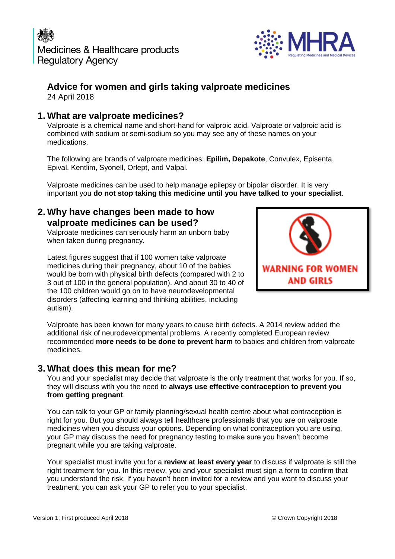

# **Advice for women and girls taking valproate medicines**

24 April 2018

## **1. What are valproate medicines?**

Valproate is a chemical name and short-hand for valproic acid. Valproate or valproic acid is combined with sodium or semi-sodium so you may see any of these names on your medications.

The following are brands of valproate medicines: **Epilim, Depakote**, Convulex, Episenta, Epival, Kentlim, Syonell, Orlept, and Valpal.

Valproate medicines can be used to help manage epilepsy or bipolar disorder. It is very important you **do not stop taking this medicine until you have talked to your specialist**.

### **2. Why have changes been made to how valproate medicines can be used?**

Valproate medicines can seriously harm an unborn baby when taken during pregnancy.

Latest figures suggest that if 100 women take valproate medicines during their pregnancy, about 10 of the babies would be born with physical birth defects (compared with 2 to 3 out of 100 in the general population). And about 30 to 40 of the 100 children would go on to have neurodevelopmental disorders (affecting learning and thinking abilities, including autism).



Valproate has been known for many years to cause birth defects. A 2014 review added the additional risk of neurodevelopmental problems. A recently completed European review recommended **more needs to be done to prevent harm** to babies and children from valproate medicines.

# **3. What does this mean for me?**

You and your specialist may decide that valproate is the only treatment that works for you. If so, they will discuss with you the need to **always use effective contraception to prevent you from getting pregnant**.

You can talk to your GP or family planning/sexual health centre about what contraception is right for you. But you should always tell healthcare professionals that you are on valproate medicines when you discuss your options. Depending on what contraception you are using, your GP may discuss the need for pregnancy testing to make sure you haven't become pregnant while you are taking valproate.

Your specialist must invite you for a **review at least every year** to discuss if valproate is still the right treatment for you. In this review, you and your specialist must sign a form to confirm that you understand the risk. If you haven't been invited for a review and you want to discuss your treatment, you can ask your GP to refer you to your specialist.